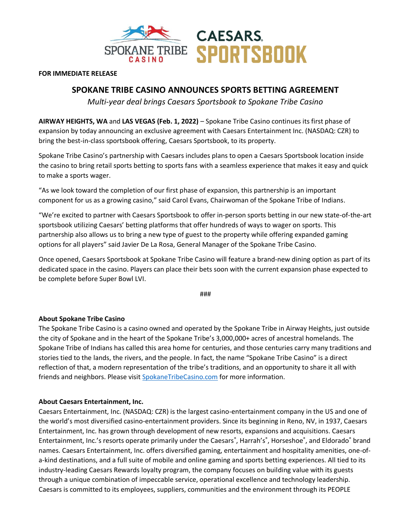

## **FOR IMMEDIATE RELEASE**

## **SPOKANE TRIBE CASINO ANNOUNCES SPORTS BETTING AGREEMENT**

*Multi-year deal brings Caesars Sportsbook to Spokane Tribe Casino*

**AIRWAY HEIGHTS, WA** and **LAS VEGAS (Feb. 1, 2022)** – Spokane Tribe Casino continues its first phase of expansion by today announcing an exclusive agreement with Caesars Entertainment Inc. (NASDAQ: CZR) to bring the best-in-class sportsbook offering, Caesars Sportsbook, to its property.

Spokane Tribe Casino's partnership with Caesars includes plans to open a Caesars Sportsbook location inside the casino to bring retail sports betting to sports fans with a seamless experience that makes it easy and quick to make a sports wager.

"As we look toward the completion of our first phase of expansion, this partnership is an important component for us as a growing casino," said Carol Evans, Chairwoman of the Spokane Tribe of Indians.

"We're excited to partner with Caesars Sportsbook to offer in-person sports betting in our new state-of-the-art sportsbook utilizing Caesars' betting platforms that offer hundreds of ways to wager on sports. This partnership also allows us to bring a new type of guest to the property while offering expanded gaming options for all players" said Javier De La Rosa, General Manager of the Spokane Tribe Casino.

Once opened, Caesars Sportsbook at Spokane Tribe Casino will feature a brand-new dining option as part of its dedicated space in the casino. Players can place their bets soon with the current expansion phase expected to be complete before Super Bowl LVI.

###

## **About Spokane Tribe Casino**

The Spokane Tribe Casino is a casino owned and operated by the Spokane Tribe in Airway Heights, just outside the city of Spokane and in the heart of the Spokane Tribe's 3,000,000+ acres of ancestral homelands. The Spokane Tribe of Indians has called this area home for centuries, and those centuries carry many traditions and stories tied to the lands, the rivers, and the people. In fact, the name "Spokane Tribe Casino" is a direct reflection of that, a modern representation of the tribe's traditions, and an opportunity to share it all with friends and neighbors. Please visit [SpokaneTribeCasino.com](https://spokanetribecasino.com/) for more information.

## **About Caesars Entertainment, Inc.**

Caesars Entertainment, Inc. (NASDAQ: CZR) is the largest casino-entertainment company in the US and one of the world's most diversified casino-entertainment providers. Since its beginning in Reno, NV, in 1937, Caesars Entertainment, Inc. has grown through development of new resorts, expansions and acquisitions. Caesars Entertainment, Inc.'s resorts operate primarily under the Caesars®, Harrah's®, Horseshoe®, and Eldorado® brand names. Caesars Entertainment, Inc. offers diversified gaming, entertainment and hospitality amenities, one-ofa-kind destinations, and a full suite of mobile and online gaming and sports betting experiences. All tied to its industry-leading Caesars Rewards loyalty program, the company focuses on building value with its guests through a unique combination of impeccable service, operational excellence and technology leadership. Caesars is committed to its employees, suppliers, communities and the environment through its PEOPLE